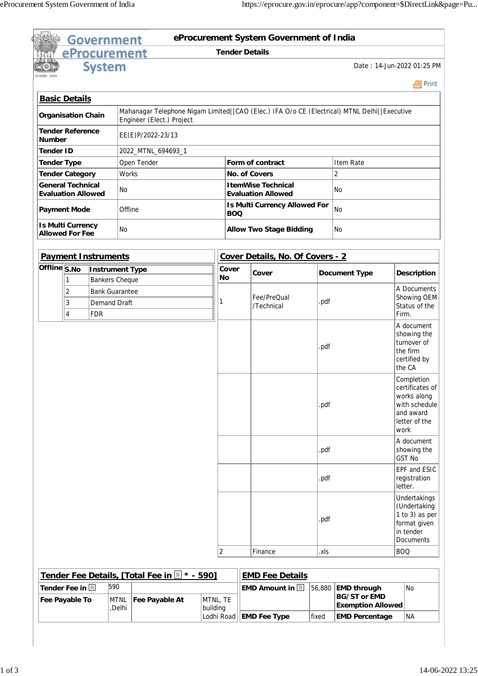|                                                       |                | <b>Government</b>                               |                    |                                                                                              |          |                       |                                                    | eProcurement System Government of India                |        |                                                                       |  |                                                                                                     |  |  |  |
|-------------------------------------------------------|----------------|-------------------------------------------------|--------------------|----------------------------------------------------------------------------------------------|----------|-----------------------|----------------------------------------------------|--------------------------------------------------------|--------|-----------------------------------------------------------------------|--|-----------------------------------------------------------------------------------------------------|--|--|--|
|                                                       |                | eProcurement                                    |                    |                                                                                              |          | <b>Tender Details</b> |                                                    |                                                        |        |                                                                       |  |                                                                                                     |  |  |  |
|                                                       |                | <b>System</b>                                   |                    |                                                                                              |          |                       |                                                    |                                                        |        | Date: 14-Jun-2022 01:25 PM                                            |  |                                                                                                     |  |  |  |
|                                                       |                |                                                 |                    |                                                                                              |          |                       |                                                    |                                                        |        |                                                                       |  | 昌Print                                                                                              |  |  |  |
| <b>Basic Details</b>                                  |                |                                                 |                    | Mahanagar Telephone Nigam Limited  CAO (Elec.) IFA O/o CE (Electrical) MTNL Delhi  Executive |          |                       |                                                    |                                                        |        |                                                                       |  |                                                                                                     |  |  |  |
| <b>Organisation Chain</b>                             |                |                                                 |                    | Engineer (Elect.) Project                                                                    |          |                       |                                                    |                                                        |        |                                                                       |  |                                                                                                     |  |  |  |
| <b>Tender Reference</b><br><b>Number</b>              |                |                                                 |                    | EE(E)P/2022-23/13                                                                            |          |                       |                                                    |                                                        |        |                                                                       |  |                                                                                                     |  |  |  |
| <b>Tender ID</b>                                      |                |                                                 |                    | 2022_MTNL_694693_1                                                                           |          |                       |                                                    |                                                        |        |                                                                       |  |                                                                                                     |  |  |  |
| <b>Tender Type</b>                                    |                |                                                 |                    | Open Tender                                                                                  |          |                       |                                                    | Form of contract                                       |        | Item Rate                                                             |  |                                                                                                     |  |  |  |
| <b>Tender Category</b>                                |                |                                                 | Works              |                                                                                              |          |                       |                                                    | <b>No. of Covers</b>                                   |        | $\overline{2}$                                                        |  |                                                                                                     |  |  |  |
| <b>General Technical</b><br><b>Evaluation Allowed</b> |                |                                                 | No.                |                                                                                              |          |                       |                                                    | <b>ItemWise Technical</b><br><b>Evaluation Allowed</b> |        | No.                                                                   |  |                                                                                                     |  |  |  |
| <b>Payment Mode</b>                                   |                |                                                 |                    | Offline                                                                                      |          |                       | <b>Is Multi Currency Allowed For</b><br><b>BOQ</b> |                                                        |        | <b>No</b>                                                             |  |                                                                                                     |  |  |  |
| <b>Is Multi Currency</b><br><b>Allowed For Fee</b>    |                |                                                 | No.                |                                                                                              |          |                       |                                                    | <b>Allow Two Stage Bidding</b>                         |        | No.                                                                   |  |                                                                                                     |  |  |  |
|                                                       |                |                                                 |                    |                                                                                              |          |                       |                                                    |                                                        |        |                                                                       |  |                                                                                                     |  |  |  |
|                                                       |                | <b>Payment Instruments</b>                      |                    |                                                                                              |          |                       | Cover Details, No. Of Covers - 2                   |                                                        |        |                                                                       |  |                                                                                                     |  |  |  |
| Offline $\overline{\mathsf{S}.\mathsf{No}}$           | 1              | <b>Instrument Type</b><br><b>Bankers Cheque</b> |                    |                                                                                              |          | Cover<br>No           |                                                    | Cover                                                  |        | <b>Document Type</b>                                                  |  | <b>Description</b>                                                                                  |  |  |  |
|                                                       | $\overline{2}$ | <b>Bank Guarantee</b>                           |                    |                                                                                              |          |                       |                                                    |                                                        |        |                                                                       |  | A Documents                                                                                         |  |  |  |
|                                                       | 3              | <b>Demand Draft</b>                             |                    |                                                                                              |          |                       |                                                    | Fee/PreQual                                            | .pdf   |                                                                       |  | Showing OEM                                                                                         |  |  |  |
| $\overline{4}$<br><b>FDR</b>                          |                |                                                 |                    |                                                                                              |          |                       | /Technical                                         |                                                        |        | Status of the<br>Firm.                                                |  |                                                                                                     |  |  |  |
|                                                       |                |                                                 |                    |                                                                                              |          |                       |                                                    |                                                        | .pdf   |                                                                       |  | A document<br>showing the<br>turnover of<br>the firm<br>certified by<br>the CA                      |  |  |  |
|                                                       |                |                                                 |                    |                                                                                              |          |                       |                                                    |                                                        | .pdf   |                                                                       |  | Completion<br>certificates of<br>works along<br>with schedule<br>and award<br>letter of the<br>work |  |  |  |
|                                                       |                |                                                 |                    |                                                                                              |          |                       |                                                    |                                                        | .pdf   |                                                                       |  | A document<br>showing the<br><b>GST No</b>                                                          |  |  |  |
|                                                       |                |                                                 |                    |                                                                                              |          |                       |                                                    |                                                        | .pdf   |                                                                       |  | EPF and ESIC<br>registration<br>letter.                                                             |  |  |  |
|                                                       |                |                                                 |                    |                                                                                              |          |                       |                                                    |                                                        | .pdf   |                                                                       |  | Undertakings<br>(Undertaking<br>1 to 3) as per<br>format given<br>in tender<br>Documents            |  |  |  |
|                                                       |                |                                                 |                    |                                                                                              |          | $\vert$ 2             |                                                    | Finance                                                | .xls   |                                                                       |  | <b>BOQ</b>                                                                                          |  |  |  |
|                                                       |                |                                                 |                    |                                                                                              |          |                       |                                                    |                                                        |        |                                                                       |  |                                                                                                     |  |  |  |
|                                                       |                |                                                 |                    | Tender Fee Details, [Total Fee in   * - 590]                                                 |          |                       |                                                    | <b>EMD Fee Details</b>                                 |        |                                                                       |  |                                                                                                     |  |  |  |
| Tender Fee in<br>Fee Payable To                       |                |                                                 | 590<br><b>MTNL</b> | Fee Payable At                                                                               | MTNL, TE |                       |                                                    | <b>EMD Amount in III</b>                               | 56,880 | <b>EMD through</b><br><b>BG/ST or EMD</b><br><b>Exemption Allowed</b> |  | <b>No</b>                                                                                           |  |  |  |
|                                                       |                |                                                 | ,Delhi             |                                                                                              | building | Lodhi Road            |                                                    | <b>EMD Fee Type</b>                                    | fixed  | <b>EMD Percentage</b>                                                 |  | NA)                                                                                                 |  |  |  |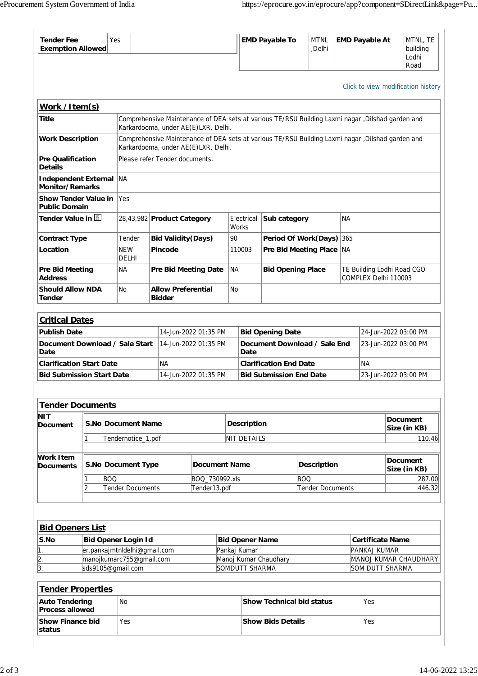| <b>Tender Fee</b><br><b>Exemption Allowed</b>                                                                                                                       |                                                                                 | Yes                                          |                                            |  |                             |                      |                                            |                                      | <b>EMD Payable To</b>            | <b>MTNL</b><br>,Delhi |                                                    |        | <b>EMD Payable At</b>           |                                 | MTNL, TE<br>building<br>Lodhi<br>Road |  |
|---------------------------------------------------------------------------------------------------------------------------------------------------------------------|---------------------------------------------------------------------------------|----------------------------------------------|--------------------------------------------|--|-----------------------------|----------------------|--------------------------------------------|--------------------------------------|----------------------------------|-----------------------|----------------------------------------------------|--------|---------------------------------|---------------------------------|---------------------------------------|--|
|                                                                                                                                                                     |                                                                                 |                                              |                                            |  |                             |                      |                                            |                                      |                                  |                       |                                                    |        |                                 |                                 | Click to view modification history    |  |
| Work /Item(s)                                                                                                                                                       |                                                                                 |                                              |                                            |  |                             |                      |                                            |                                      |                                  |                       |                                                    |        |                                 |                                 |                                       |  |
| Comprehensive Maintenance of DEA sets at various TE/RSU Building Laxmi nagar , Dilshad garden and<br>Title<br>Karkardooma, under AE(E)LXR, Delhi.                   |                                                                                 |                                              |                                            |  |                             |                      |                                            |                                      |                                  |                       |                                                    |        |                                 |                                 |                                       |  |
| <b>Work Description</b><br>Comprehensive Maintenance of DEA sets at various TE/RSU Building Laxmi nagar , Dilshad garden and<br>Karkardooma, under AE(E)LXR, Delhi. |                                                                                 |                                              |                                            |  |                             |                      |                                            |                                      |                                  |                       |                                                    |        |                                 |                                 |                                       |  |
| <b>Pre Qualification</b><br>Please refer Tender documents.<br><b>Details</b>                                                                                        |                                                                                 |                                              |                                            |  |                             |                      |                                            |                                      |                                  |                       |                                                    |        |                                 |                                 |                                       |  |
|                                                                                                                                                                     | ∣NA<br><b>Independent External</b><br><b>Monitor/Remarks</b>                    |                                              |                                            |  |                             |                      |                                            |                                      |                                  |                       |                                                    |        |                                 |                                 |                                       |  |
| <b>Show Tender Value in</b><br><b>Public Domain</b>                                                                                                                 |                                                                                 |                                              | Yes                                        |  |                             |                      |                                            |                                      |                                  |                       |                                                    |        |                                 |                                 |                                       |  |
| Tender Value in <b>N</b>                                                                                                                                            |                                                                                 |                                              | 28,43,982 Product Category                 |  |                             |                      | Electrical<br>Works                        |                                      | Sub category                     |                       | <b>NA</b>                                          |        |                                 |                                 |                                       |  |
| <b>Contract Type</b>                                                                                                                                                |                                                                                 |                                              | Tender<br><b>Bid Validity (Days)</b>       |  |                             |                      | 90                                         |                                      | <b>Period Of Work(Days)</b>      |                       |                                                    | 365    |                                 |                                 |                                       |  |
| Location                                                                                                                                                            |                                                                                 |                                              | <b>NEW</b><br>DELHI                        |  | <b>Pincode</b>              |                      |                                            | 110003                               | Pre Bid Meeting Place NA         |                       |                                                    |        |                                 |                                 |                                       |  |
| <b>Address</b>                                                                                                                                                      | Pre Bid Meeting                                                                 |                                              |                                            |  | <b>Pre Bid Meeting Date</b> |                      | <b>NA</b>                                  |                                      | <b>Bid Opening Place</b>         |                       | TE Building Lodhi Road CGO<br>COMPLEX Delhi 110003 |        |                                 |                                 |                                       |  |
| <b>Should Allow NDA</b><br>Tender                                                                                                                                   |                                                                                 | No                                           | <b>Allow Preferential</b><br><b>Bidder</b> |  |                             | <b>No</b>            |                                            |                                      |                                  |                       |                                                    |        |                                 |                                 |                                       |  |
| <b>Critical Dates</b>                                                                                                                                               |                                                                                 |                                              |                                            |  |                             |                      |                                            |                                      |                                  |                       |                                                    |        |                                 |                                 |                                       |  |
| <b>Publish Date</b>                                                                                                                                                 |                                                                                 |                                              |                                            |  |                             | 14-Jun-2022 01:35 PM | <b>Bid Opening Date</b>                    |                                      |                                  |                       |                                                    |        | 24-Jun-2022 03:00 PM            |                                 |                                       |  |
| Document Download / Sale Start<br>Date                                                                                                                              |                                                                                 |                                              |                                            |  | 14-Jun-2022 01:35 PM        |                      |                                            | Document Download / Sale End<br>Date |                                  |                       |                                                    |        | 23-Jun-2022 03:00 PM            |                                 |                                       |  |
| <b>Clarification Start Date</b>                                                                                                                                     |                                                                                 |                                              | <b>NA</b>                                  |  |                             |                      |                                            | <b>Clarification End Date</b>        |                                  |                       |                                                    |        | <b>NA</b>                       |                                 |                                       |  |
| <b>Bid Submission Start Date</b>                                                                                                                                    |                                                                                 |                                              | 14-Jun-2022 01:35 PM                       |  |                             |                      |                                            | <b>Bid Submission End Date</b>       |                                  |                       |                                                    |        | 23-Jun-2022 03:00 PM            |                                 |                                       |  |
| <b>Tender Documents</b>                                                                                                                                             |                                                                                 |                                              |                                            |  |                             |                      |                                            |                                      |                                  |                       |                                                    |        |                                 |                                 |                                       |  |
| NIT<br><b>Document</b>                                                                                                                                              | S.No Document Name                                                              |                                              |                                            |  |                             | <b>Description</b>   |                                            |                                      |                                  |                       |                                                    |        | <b>Document</b><br>Size (in KB) |                                 |                                       |  |
|                                                                                                                                                                     | 1                                                                               | Tendernotice_1.pdf                           |                                            |  |                             |                      |                                            | <b>NIT DETAILS</b>                   |                                  |                       |                                                    | 110.46 |                                 |                                 |                                       |  |
| Work Item<br><b>Documents</b>                                                                                                                                       |                                                                                 |                                              | S.No Document Type                         |  |                             |                      | <b>Document Name</b><br><b>Description</b> |                                      |                                  |                       |                                                    |        |                                 | <b>Document</b><br>Size (in KB) |                                       |  |
|                                                                                                                                                                     |                                                                                 | <b>BOO</b>                                   | BOQ_730992.xls                             |  |                             |                      |                                            |                                      |                                  | <b>BOO</b>            |                                                    |        |                                 |                                 | 287.00                                |  |
| 2<br>Tender Documents<br>Tender Documents<br>Tender13.pdf                                                                                                           |                                                                                 |                                              |                                            |  |                             |                      |                                            |                                      |                                  | 446.32                |                                                    |        |                                 |                                 |                                       |  |
| <b>Bid Openers List</b>                                                                                                                                             |                                                                                 |                                              |                                            |  |                             |                      |                                            |                                      |                                  |                       |                                                    |        |                                 |                                 |                                       |  |
| S.No                                                                                                                                                                | <b>Bid Opener Login Id</b><br><b>Certificate Name</b><br><b>Bid Opener Name</b> |                                              |                                            |  |                             |                      |                                            |                                      |                                  |                       |                                                    |        |                                 |                                 |                                       |  |
| 1.                                                                                                                                                                  |                                                                                 | er.pankajmtnldelhi@gmail.com<br>Pankaj Kumar |                                            |  |                             |                      |                                            |                                      |                                  |                       |                                                    |        |                                 | PANKAJ KUMAR                    |                                       |  |
| 2.                                                                                                                                                                  | manojkumarc755@gmail.com                                                        |                                              |                                            |  |                             |                      |                                            | Manoj Kumar Chaudhary                |                                  |                       |                                                    |        |                                 | MANOJ KUMAR CHAUDHARY           |                                       |  |
| 3.<br>sds9105@gmail.com<br>SOMDUTT SHARMA<br><b>SOM DUTT SHARMA</b>                                                                                                 |                                                                                 |                                              |                                            |  |                             |                      |                                            |                                      |                                  |                       |                                                    |        |                                 |                                 |                                       |  |
| <b>Tender Properties</b><br><b>Auto Tendering</b>                                                                                                                   |                                                                                 |                                              | <b>No</b>                                  |  |                             |                      |                                            |                                      | <b>Show Technical bid status</b> |                       |                                                    |        | Yes                             |                                 |                                       |  |
| <b>Process allowed</b><br><b>Show Finance bid</b>                                                                                                                   |                                                                                 |                                              | Yes                                        |  |                             |                      |                                            | <b>Show Bids Details</b>             |                                  |                       |                                                    | Yes    |                                 |                                 |                                       |  |
| status                                                                                                                                                              |                                                                                 |                                              |                                            |  |                             |                      |                                            |                                      |                                  |                       |                                                    |        |                                 |                                 |                                       |  |